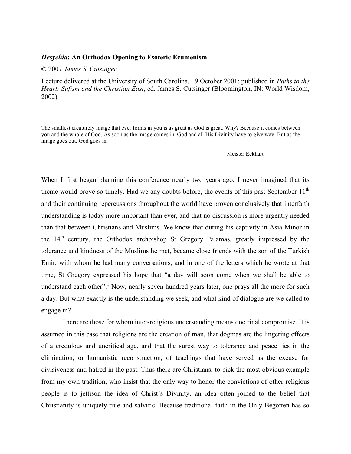## *Hesychia***: An Orthodox Opening to Esoteric Ecumenism**

## © 2007 *James S. Cutsinger*

Lecture delivered at the University of South Carolina, 19 October 2001; published in *Paths to the Heart: Sufism and the Christian East*, ed. James S. Cutsinger (Bloomington, IN: World Wisdom, 2002)

 $\mathcal{L}_\mathcal{L} = \{ \mathcal{L}_\mathcal{L} = \{ \mathcal{L}_\mathcal{L} = \{ \mathcal{L}_\mathcal{L} = \{ \mathcal{L}_\mathcal{L} = \{ \mathcal{L}_\mathcal{L} = \{ \mathcal{L}_\mathcal{L} = \{ \mathcal{L}_\mathcal{L} = \{ \mathcal{L}_\mathcal{L} = \{ \mathcal{L}_\mathcal{L} = \{ \mathcal{L}_\mathcal{L} = \{ \mathcal{L}_\mathcal{L} = \{ \mathcal{L}_\mathcal{L} = \{ \mathcal{L}_\mathcal{L} = \{ \mathcal{L}_\mathcal{$ 

The smallest creaturely image that ever forms in you is as great as God is great. Why? Because it comes between you and the whole of God. As soon as the image comes in, God and all His Divinity have to give way. But as the image goes out, God goes in.

## Meister Eckhart

When I first began planning this conference nearly two years ago, I never imagined that its theme would prove so timely. Had we any doubts before, the events of this past September 11<sup>th</sup> and their continuing repercussions throughout the world have proven conclusively that interfaith understanding is today more important than ever, and that no discussion is more urgently needed than that between Christians and Muslims. We know that during his captivity in Asia Minor in the 14<sup>th</sup> century, the Orthodox archbishop St Gregory Palamas, greatly impressed by the tolerance and kindness of the Muslims he met, became close friends with the son of the Turkish Emir, with whom he had many conversations, and in one of the letters which he wrote at that time, St Gregory expressed his hope that "a day will soon come when we shall be able to understand each other".<sup>1</sup> Now, nearly seven hundred years later, one prays all the more for such a day. But what exactly is the understanding we seek, and what kind of dialogue are we called to engage in?

There are those for whom inter-religious understanding means doctrinal compromise. It is assumed in this case that religions are the creation of man, that dogmas are the lingering effects of a credulous and uncritical age, and that the surest way to tolerance and peace lies in the elimination, or humanistic reconstruction, of teachings that have served as the excuse for divisiveness and hatred in the past. Thus there are Christians, to pick the most obvious example from my own tradition, who insist that the only way to honor the convictions of other religious people is to jettison the idea of Christ's Divinity, an idea often joined to the belief that Christianity is uniquely true and salvific. Because traditional faith in the Only-Begotten has so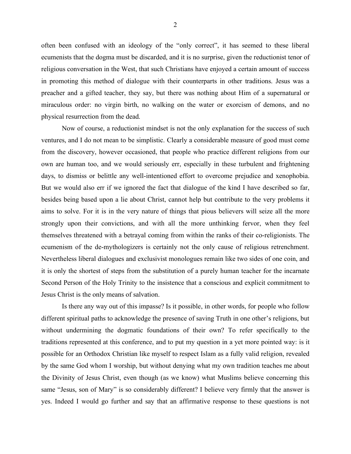often been confused with an ideology of the "only correct", it has seemed to these liberal ecumenists that the dogma must be discarded, and it is no surprise, given the reductionist tenor of religious conversation in the West, that such Christians have enjoyed a certain amount of success in promoting this method of dialogue with their counterparts in other traditions. Jesus was a preacher and a gifted teacher, they say, but there was nothing about Him of a supernatural or miraculous order: no virgin birth, no walking on the water or exorcism of demons, and no physical resurrection from the dead.

Now of course, a reductionist mindset is not the only explanation for the success of such ventures, and I do not mean to be simplistic. Clearly a considerable measure of good must come from the discovery, however occasioned, that people who practice different religions from our own are human too, and we would seriously err, especially in these turbulent and frightening days, to dismiss or belittle any well-intentioned effort to overcome prejudice and xenophobia. But we would also err if we ignored the fact that dialogue of the kind I have described so far, besides being based upon a lie about Christ, cannot help but contribute to the very problems it aims to solve. For it is in the very nature of things that pious believers will seize all the more strongly upon their convictions, and with all the more unthinking fervor, when they feel themselves threatened with a betrayal coming from within the ranks of their co-religionists. The ecumenism of the de-mythologizers is certainly not the only cause of religious retrenchment. Nevertheless liberal dialogues and exclusivist monologues remain like two sides of one coin, and it is only the shortest of steps from the substitution of a purely human teacher for the incarnate Second Person of the Holy Trinity to the insistence that a conscious and explicit commitment to Jesus Christ is the only means of salvation.

Is there any way out of this impasse? Is it possible, in other words, for people who follow different spiritual paths to acknowledge the presence of saving Truth in one other's religions, but without undermining the dogmatic foundations of their own? To refer specifically to the traditions represented at this conference, and to put my question in a yet more pointed way: is it possible for an Orthodox Christian like myself to respect Islam as a fully valid religion, revealed by the same God whom I worship, but without denying what my own tradition teaches me about the Divinity of Jesus Christ, even though (as we know) what Muslims believe concerning this same "Jesus, son of Mary" is so considerably different? I believe very firmly that the answer is yes. Indeed I would go further and say that an affirmative response to these questions is not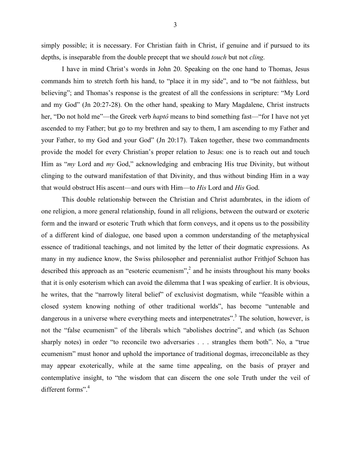simply possible; it is necessary. For Christian faith in Christ, if genuine and if pursued to its depths, is inseparable from the double precept that we should *touch* but not *cling*.

I have in mind Christ's words in John 20. Speaking on the one hand to Thomas, Jesus commands him to stretch forth his hand, to "place it in my side", and to "be not faithless, but believing"; and Thomas's response is the greatest of all the confessions in scripture: "My Lord and my God" (Jn 20:27-28). On the other hand, speaking to Mary Magdalene, Christ instructs her, "Do not hold me"—the Greek verb *haptô* means to bind something fast—"for I have not yet ascended to my Father; but go to my brethren and say to them, I am ascending to my Father and your Father, to my God and your God" (Jn 20:17). Taken together, these two commandments provide the model for every Christian's proper relation to Jesus: one is to reach out and touch Him as "*my* Lord and *my* God," acknowledging and embracing His true Divinity, but without clinging to the outward manifestation of that Divinity, and thus without binding Him in a way that would obstruct His ascent—and ours with Him—to *His* Lord and *His* God.

This double relationship between the Christian and Christ adumbrates, in the idiom of one religion, a more general relationship, found in all religions, between the outward or exoteric form and the inward or esoteric Truth which that form conveys, and it opens us to the possibility of a different kind of dialogue, one based upon a common understanding of the metaphysical essence of traditional teachings, and not limited by the letter of their dogmatic expressions. As many in my audience know, the Swiss philosopher and perennialist author Frithjof Schuon has described this approach as an "esoteric ecumenism",<sup>2</sup> and he insists throughout his many books that it is only esoterism which can avoid the dilemma that I was speaking of earlier. It is obvious, he writes, that the "narrowly literal belief" of exclusivist dogmatism, while "feasible within a closed system knowing nothing of other traditional worlds", has become "untenable and dangerous in a universe where everything meets and interpenetrates".<sup>3</sup> The solution, however, is not the "false ecumenism" of the liberals which "abolishes doctrine", and which (as Schuon sharply notes) in order "to reconcile two adversaries . . . strangles them both". No, a "true ecumenism" must honor and uphold the importance of traditional dogmas, irreconcilable as they may appear exoterically, while at the same time appealing, on the basis of prayer and contemplative insight, to "the wisdom that can discern the one sole Truth under the veil of different forms". 4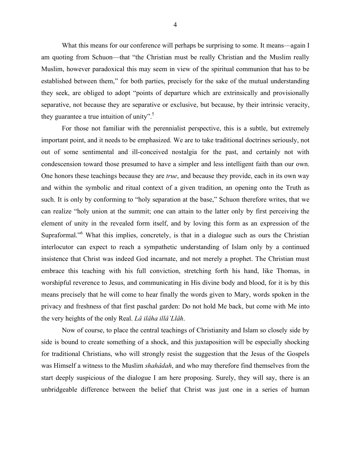What this means for our conference will perhaps be surprising to some. It means—again I am quoting from Schuon—that "the Christian must be really Christian and the Muslim really Muslim, however paradoxical this may seem in view of the spiritual communion that has to be established between them," for both parties, precisely for the sake of the mutual understanding they seek, are obliged to adopt "points of departure which are extrinsically and provisionally separative, not because they are separative or exclusive, but because, by their intrinsic veracity, they guarantee a true intuition of unity".<sup>5</sup>

For those not familiar with the perennialist perspective, this is a subtle, but extremely important point, and it needs to be emphasized. We are to take traditional doctrines seriously, not out of some sentimental and ill-conceived nostalgia for the past, and certainly not with condescension toward those presumed to have a simpler and less intelligent faith than our own. One honors these teachings because they are *true*, and because they provide, each in its own way and within the symbolic and ritual context of a given tradition, an opening onto the Truth as such. It is only by conforming to "holy separation at the base," Schuon therefore writes, that we can realize "holy union at the summit; one can attain to the latter only by first perceiving the element of unity in the revealed form itself, and by loving this form as an expression of the Supraformal."<sup>6</sup> What this implies, concretely, is that in a dialogue such as ours the Christian interlocutor can expect to reach a sympathetic understanding of Islam only by a continued insistence that Christ was indeed God incarnate, and not merely a prophet. The Christian must embrace this teaching with his full conviction, stretching forth his hand, like Thomas, in worshipful reverence to Jesus, and communicating in His divine body and blood, for it is by this means precisely that he will come to hear finally the words given to Mary, words spoken in the privacy and freshness of that first paschal garden: Do not hold Me back, but come with Me into the very heights of the only Real. *Lâ ilâha illâ'Llâh*.

Now of course, to place the central teachings of Christianity and Islam so closely side by side is bound to create something of a shock, and this juxtaposition will be especially shocking for traditional Christians, who will strongly resist the suggestion that the Jesus of the Gospels was Himself a witness to the Muslim *shahâdah*, and who may therefore find themselves from the start deeply suspicious of the dialogue I am here proposing. Surely, they will say, there is an unbridgeable difference between the belief that Christ was just one in a series of human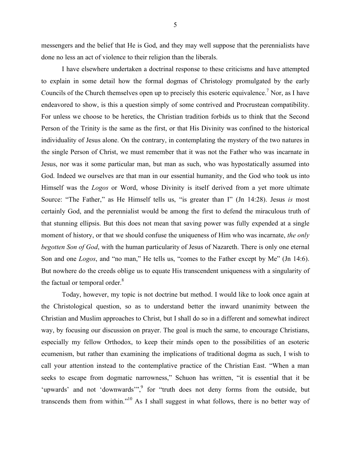messengers and the belief that He is God, and they may well suppose that the perennialists have done no less an act of violence to their religion than the liberals.

I have elsewhere undertaken a doctrinal response to these criticisms and have attempted to explain in some detail how the formal dogmas of Christology promulgated by the early Councils of the Church themselves open up to precisely this esoteric equivalence.<sup>7</sup> Nor, as I have endeavored to show, is this a question simply of some contrived and Procrustean compatibility. For unless we choose to be heretics, the Christian tradition forbids us to think that the Second Person of the Trinity is the same as the first, or that His Divinity was confined to the historical individuality of Jesus alone. On the contrary, in contemplating the mystery of the two natures in the single Person of Christ, we must remember that it was not the Father who was incarnate in Jesus, nor was it some particular man, but man as such, who was hypostatically assumed into God. Indeed we ourselves are that man in our essential humanity, and the God who took us into Himself was the *Logos* or Word, whose Divinity is itself derived from a yet more ultimate Source: "The Father," as He Himself tells us, "is greater than I" (Jn 14:28). Jesus *is* most certainly God, and the perennialist would be among the first to defend the miraculous truth of that stunning ellipsis. But this does not mean that saving power was fully expended at a single moment of history, or that we should confuse the uniqueness of Him who was incarnate, *the only begotten Son of God*, with the human particularity of Jesus of Nazareth. There is only one eternal Son and one *Logos*, and "no man," He tells us, "comes to the Father except by Me" (Jn 14:6). But nowhere do the creeds oblige us to equate His transcendent uniqueness with a singularity of the factual or temporal order.<sup>8</sup>

Today, however, my topic is not doctrine but method. I would like to look once again at the Christological question, so as to understand better the inward unanimity between the Christian and Muslim approaches to Christ, but I shall do so in a different and somewhat indirect way, by focusing our discussion on prayer. The goal is much the same, to encourage Christians, especially my fellow Orthodox, to keep their minds open to the possibilities of an esoteric ecumenism, but rather than examining the implications of traditional dogma as such, I wish to call your attention instead to the contemplative practice of the Christian East. "When a man seeks to escape from dogmatic narrowness," Schuon has written, "it is essential that it be 'upwards' and not 'downwards'",<sup>9</sup> for "truth does not deny forms from the outside, but transcends them from within."<sup>10</sup> As I shall suggest in what follows, there is no better way of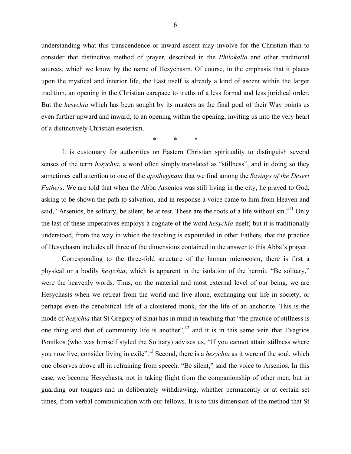understanding what this transcendence or inward ascent may involve for the Christian than to consider that distinctive method of prayer, described in the *Philokalia* and other traditional sources, which we know by the name of Hesychasm. Of course, in the emphasis that it places upon the mystical and interior life, the East itself is already a kind of ascent within the larger tradition, an opening in the Christian carapace to truths of a less formal and less juridical order. But the *hesychia* which has been sought by its masters as the final goal of their Way points us even further upward and inward, to an opening within the opening, inviting us into the very heart of a distinctively Christian esoterism.

\* \* \*

It is customary for authorities on Eastern Christian spirituality to distinguish several senses of the term *hesychia*, a word often simply translated as "stillness", and in doing so they sometimes call attention to one of the *apothegmata* that we find among the *Sayings of the Desert Fathers*. We are told that when the Abba Arsenios was still living in the city, he prayed to God, asking to be shown the path to salvation, and in response a voice came to him from Heaven and said, "Arsenios, be solitary, be silent, be at rest. These are the roots of a life without sin."<sup>11</sup> Only the last of these imperatives employs a cognate of the word *hesychia* itself, but it is traditionally understood, from the way in which the teaching is expounded in other Fathers, that the practice of Hesychasm includes all three of the dimensions contained in the answer to this Abba's prayer.

Corresponding to the three-fold structure of the human microcosm, there is first a physical or a bodily *hesychia*, which is apparent in the isolation of the hermit. "Be solitary," were the heavenly words. Thus, on the material and most external level of our being, we are Hesychasts when we retreat from the world and live alone, exchanging our life in society, or perhaps even the cenobitical life of a cloistered monk, for the life of an anchorite. This is the mode of *hesychia* that St Gregory of Sinai has in mind in teaching that "the practice of stillness is one thing and that of community life is another",<sup>12</sup> and it is in this same vein that Evagrios Pontikos (who was himself styled the Solitary) advises us, "If you cannot attain stillness where you now live, consider living in exile". <sup>13</sup> Second, there is a *hesychia* as it were of the soul, which one observes above all in refraining from speech. "Be silent," said the voice to Arsenios. In this case, we become Hesychasts, not in taking flight from the companionship of other men, but in guarding our tongues and in deliberately withdrawing, whether permanently or at certain set times, from verbal communication with our fellows. It is to this dimension of the method that St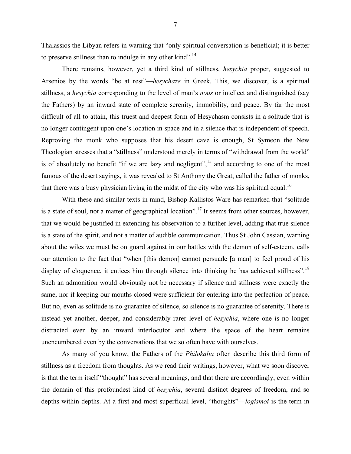Thalassios the Libyan refers in warning that "only spiritual conversation is beneficial; it is better to preserve stillness than to indulge in any other kind".<sup>14</sup>

There remains, however, yet a third kind of stillness, *hesychia* proper, suggested to Arsenios by the words "be at rest"—*hesychaze* in Greek. This, we discover, is a spiritual stillness, a *hesychia* corresponding to the level of man's *nous* or intellect and distinguished (say the Fathers) by an inward state of complete serenity, immobility, and peace. By far the most difficult of all to attain, this truest and deepest form of Hesychasm consists in a solitude that is no longer contingent upon one's location in space and in a silence that is independent of speech. Reproving the monk who supposes that his desert cave is enough, St Symeon the New Theologian stresses that a "stillness" understood merely in terms of "withdrawal from the world" is of absolutely no benefit "if we are lazy and negligent",<sup>15</sup> and according to one of the most famous of the desert sayings, it was revealed to St Anthony the Great, called the father of monks, that there was a busy physician living in the midst of the city who was his spiritual equal.<sup>16</sup>

With these and similar texts in mind, Bishop Kallistos Ware has remarked that "solitude is a state of soul, not a matter of geographical location".<sup>17</sup> It seems from other sources, however, that we would be justified in extending his observation to a further level, adding that true silence is a state of the spirit, and not a matter of audible communication. Thus St John Cassian, warning about the wiles we must be on guard against in our battles with the demon of self-esteem, calls our attention to the fact that "when [this demon] cannot persuade [a man] to feel proud of his display of eloquence, it entices him through silence into thinking he has achieved stillness".<sup>18</sup> Such an admonition would obviously not be necessary if silence and stillness were exactly the same, nor if keeping our mouths closed were sufficient for entering into the perfection of peace. But no, even as solitude is no guarantee of silence, so silence is no guarantee of serenity. There is instead yet another, deeper, and considerably rarer level of *hesychia*, where one is no longer distracted even by an inward interlocutor and where the space of the heart remains unencumbered even by the conversations that we so often have with ourselves.

As many of you know, the Fathers of the *Philokalia* often describe this third form of stillness as a freedom from thoughts. As we read their writings, however, what we soon discover is that the term itself "thought" has several meanings, and that there are accordingly, even within the domain of this profoundest kind of *hesychia*, several distinct degrees of freedom, and so depths within depths. At a first and most superficial level, "thoughts"—*logismoi* is the term in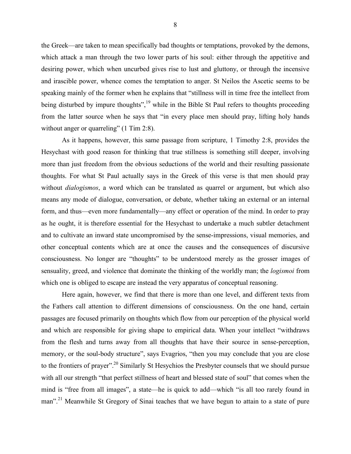the Greek—are taken to mean specifically bad thoughts or temptations, provoked by the demons, which attack a man through the two lower parts of his soul: either through the appetitive and desiring power, which when uncurbed gives rise to lust and gluttony, or through the incensive and irascible power, whence comes the temptation to anger. St Neilos the Ascetic seems to be speaking mainly of the former when he explains that "stillness will in time free the intellect from being disturbed by impure thoughts",<sup>19</sup> while in the Bible St Paul refers to thoughts proceeding from the latter source when he says that "in every place men should pray, lifting holy hands without anger or quarreling" (1 Tim 2:8).

As it happens, however, this same passage from scripture, 1 Timothy 2:8, provides the Hesychast with good reason for thinking that true stillness is something still deeper, involving more than just freedom from the obvious seductions of the world and their resulting passionate thoughts. For what St Paul actually says in the Greek of this verse is that men should pray without *dialogismos*, a word which can be translated as quarrel or argument, but which also means any mode of dialogue, conversation, or debate, whether taking an external or an internal form, and thus—even more fundamentally—any effect or operation of the mind. In order to pray as he ought, it is therefore essential for the Hesychast to undertake a much subtler detachment and to cultivate an inward state uncompromised by the sense-impressions, visual memories, and other conceptual contents which are at once the causes and the consequences of discursive consciousness. No longer are "thoughts" to be understood merely as the grosser images of sensuality, greed, and violence that dominate the thinking of the worldly man; the *logismoi* from which one is obliged to escape are instead the very apparatus of conceptual reasoning.

Here again, however, we find that there is more than one level, and different texts from the Fathers call attention to different dimensions of consciousness. On the one hand, certain passages are focused primarily on thoughts which flow from our perception of the physical world and which are responsible for giving shape to empirical data. When your intellect "withdraws from the flesh and turns away from all thoughts that have their source in sense-perception, memory, or the soul-body structure", says Evagrios, "then you may conclude that you are close to the frontiers of prayer".<sup>20</sup> Similarly St Hesychios the Presbyter counsels that we should pursue with all our strength "that perfect stillness of heart and blessed state of soul" that comes when the mind is "free from all images", a state—he is quick to add—which "is all too rarely found in man".<sup>21</sup> Meanwhile St Gregory of Sinai teaches that we have begun to attain to a state of pure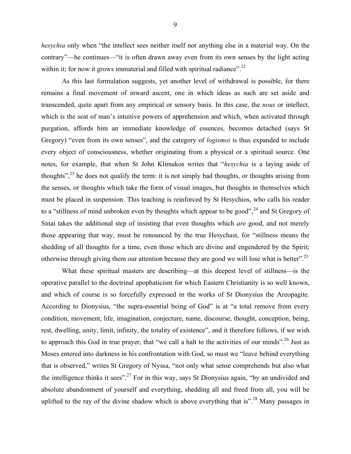*hesychia* only when "the intellect sees neither itself nor anything else in a material way. On the contrary"—he continues—"it is often drawn away even from its own senses by the light acting within it; for now it grows immaterial and filled with spiritual radiance".<sup>22</sup>

As this last formulation suggests, yet another level of withdrawal is possible, for there remains a final movement of inward ascent, one in which ideas as such are set aside and transcended, quite apart from any empirical or sensory basis. In this case, the *nous* or intellect, which is the seat of man's intuitive powers of apprehension and which, when activated through purgation, affords him an immediate knowledge of essences, becomes detached (says St Gregory) "even from its own senses", and the category of *logismoi* is thus expanded to include every object of consciousness, whether originating from a physical or a spiritual source. One notes, for example, that when St John Klimakos writes that "*hesychia* is a laying aside of thoughts", $^{23}$  he does not qualify the term: it is not simply bad thoughts, or thoughts arising from the senses, or thoughts which take the form of visual images, but thoughts in themselves which must be placed in suspension. This teaching is reinforced by St Hesychios, who calls his reader to a "stillness of mind unbroken even by thoughts which appear to be good", <sup>24</sup> and St Gregory of Sinai takes the additional step of insisting that even thoughts which *are* good, and not merely those appearing that way, must be renounced by the true Hesychast, for "stillness means the shedding of all thoughts for a time, even those which are divine and engendered by the Spirit; otherwise through giving them our attention because they are good we will lose what is better".<sup>25</sup>

What these spiritual masters are describing—at this deepest level of stillness—is the operative parallel to the doctrinal apophaticism for which Eastern Christianity is so well known, and which of course is so forcefully expressed in the works of St Dionysius the Areopagite. According to Dionysius, "the supra-essential being of God" is at "a total remove from every condition, movement, life, imagination, conjecture, name, discourse, thought, conception, being, rest, dwelling, unity, limit, infinity, the totality of existence", and it therefore follows, if we wish to approach this God in true prayer, that "we call a halt to the activities of our minds".<sup>26</sup> Just as Moses entered into darkness in his confrontation with God, so must we "leave behind everything that is observed," writes St Gregory of Nyssa, "not only what sense comprehends but also what the intelligence thinks it sees".<sup>27</sup> For in this way, says St Dionysius again, "by an undivided and absolute abandonment of yourself and everything, shedding all and freed from all, you will be uplifted to the ray of the divine shadow which is above everything that is".<sup>28</sup> Many passages in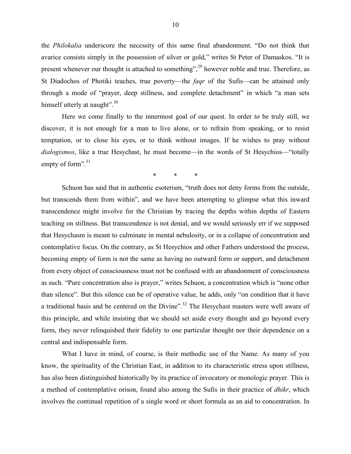the *Philokalia* underscore the necessity of this same final abandonment. "Do not think that avarice consists simply in the possession of silver or gold," writes St Peter of Damaskos. "It is present whenever our thought is attached to something",<sup>29</sup> however noble and true. Therefore, as St Diadochos of Photiki teaches, true poverty—the *faqr* of the Sufis—can be attained only through a mode of "prayer, deep stillness, and complete detachment" in which "a man sets himself utterly at naught".<sup>30</sup>

Here we come finally to the innermost goal of our quest. In order to be truly still, we discover, it is not enough for a man to live alone, or to refrain from speaking, or to resist temptation, or to close his eyes, or to think without images. If he wishes to pray without *dialogismos*, like a true Hesychast, he must become—in the words of St Hesychios—"totally empty of form".<sup>31</sup>

\* \* \*

Schuon has said that in authentic esoterism, "truth does not deny forms from the outside, but transcends them from within", and we have been attempting to glimpse what this inward transcendence might involve for the Christian by tracing the depths within depths of Eastern teaching on stillness. But transcendence is not denial, and we would seriously err if we supposed that Hesychasm is meant to culminate in mental nebulosity, or in a collapse of concentration and contemplative focus. On the contrary, as St Hesychios and other Fathers understood the process, becoming empty of form is not the same as having no outward form or support, and detachment from every object of consciousness must not be confused with an abandonment of consciousness as such. "Pure concentration also is prayer," writes Schuon, a concentration which is "none other than silence". But this silence can be of operative value, he adds, only "on condition that it have a traditional basis and be centered on the Divine".<sup>32</sup> The Hesychast masters were well aware of this principle, and while insisting that we should set aside every thought and go beyond every form, they never relinquished their fidelity to one particular thought nor their dependence on a central and indispensable form.

What I have in mind, of course, is their methodic use of the Name. As many of you know, the spirituality of the Christian East, in addition to its characteristic stress upon stillness, has also been distinguished historically by its practice of invocatory or monologic prayer. This is a method of contemplative orison, found also among the Sufis in their practice of *dhikr*, which involves the continual repetition of a single word or short formula as an aid to concentration. In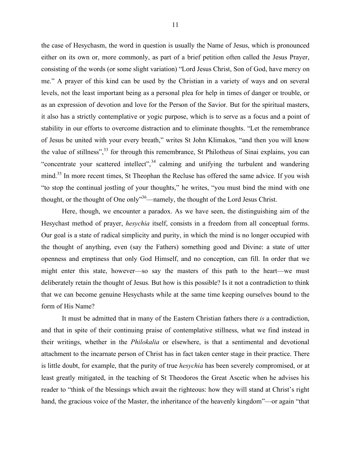the case of Hesychasm, the word in question is usually the Name of Jesus, which is pronounced either on its own or, more commonly, as part of a brief petition often called the Jesus Prayer, consisting of the words (or some slight variation) "Lord Jesus Christ, Son of God, have mercy on me." A prayer of this kind can be used by the Christian in a variety of ways and on several levels, not the least important being as a personal plea for help in times of danger or trouble, or as an expression of devotion and love for the Person of the Savior. But for the spiritual masters, it also has a strictly contemplative or yogic purpose, which is to serve as a focus and a point of stability in our efforts to overcome distraction and to eliminate thoughts. "Let the remembrance of Jesus be united with your every breath," writes St John Klimakos, "and then you will know the value of stillness",<sup>33</sup> for through this remembrance, St Philotheus of Sinai explains, you can "concentrate your scattered intellect",<sup>34</sup> calming and unifying the turbulent and wandering mind.<sup>35</sup> In more recent times, St Theophan the Recluse has offered the same advice. If you wish "to stop the continual jostling of your thoughts," he writes, "you must bind the mind with one thought, or the thought of One only<sup>356</sup>—namely, the thought of the Lord Jesus Christ.

Here, though, we encounter a paradox. As we have seen, the distinguishing aim of the Hesychast method of prayer, *hesychia* itself, consists in a freedom from all conceptual forms. Our goal is a state of radical simplicity and purity, in which the mind is no longer occupied with the thought of anything, even (say the Fathers) something good and Divine: a state of utter openness and emptiness that only God Himself, and no conception, can fill. In order that we might enter this state, however—so say the masters of this path to the heart—we must deliberately retain the thought of Jesus. But how is this possible? Is it not a contradiction to think that we can become genuine Hesychasts while at the same time keeping ourselves bound to the form of His Name?

It must be admitted that in many of the Eastern Christian fathers there *is* a contradiction, and that in spite of their continuing praise of contemplative stillness, what we find instead in their writings, whether in the *Philokalia* or elsewhere, is that a sentimental and devotional attachment to the incarnate person of Christ has in fact taken center stage in their practice. There is little doubt, for example, that the purity of true *hesychia* has been severely compromised, or at least greatly mitigated, in the teaching of St Theodoros the Great Ascetic when he advises his reader to "think of the blessings which await the righteous: how they will stand at Christ's right hand, the gracious voice of the Master, the inheritance of the heavenly kingdom"—or again "that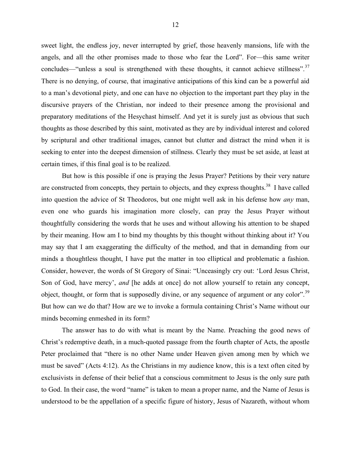sweet light, the endless joy, never interrupted by grief, those heavenly mansions, life with the angels, and all the other promises made to those who fear the Lord". For—this same writer concludes—"unless a soul is strengthened with these thoughts, it cannot achieve stillness".<sup>37</sup> There is no denying, of course, that imaginative anticipations of this kind can be a powerful aid to a man's devotional piety, and one can have no objection to the important part they play in the discursive prayers of the Christian, nor indeed to their presence among the provisional and preparatory meditations of the Hesychast himself. And yet it is surely just as obvious that such thoughts as those described by this saint, motivated as they are by individual interest and colored by scriptural and other traditional images, cannot but clutter and distract the mind when it is seeking to enter into the deepest dimension of stillness. Clearly they must be set aside, at least at certain times, if this final goal is to be realized.

But how is this possible if one is praying the Jesus Prayer? Petitions by their very nature are constructed from concepts, they pertain to objects, and they express thoughts.<sup>38</sup> I have called into question the advice of St Theodoros, but one might well ask in his defense how *any* man, even one who guards his imagination more closely, can pray the Jesus Prayer without thoughtfully considering the words that he uses and without allowing his attention to be shaped by their meaning. How am I to bind my thoughts by this thought without thinking about it? You may say that I am exaggerating the difficulty of the method, and that in demanding from our minds a thoughtless thought, I have put the matter in too elliptical and problematic a fashion. Consider, however, the words of St Gregory of Sinai: "Unceasingly cry out: 'Lord Jesus Christ, Son of God, have mercy', *and* [he adds at once] do not allow yourself to retain any concept, object, thought, or form that is supposedly divine, or any sequence of argument or any color".<sup>39</sup> But how can we do that? How are we to invoke a formula containing Christ's Name without our minds becoming enmeshed in its form?

The answer has to do with what is meant by the Name. Preaching the good news of Christ's redemptive death, in a much-quoted passage from the fourth chapter of Acts, the apostle Peter proclaimed that "there is no other Name under Heaven given among men by which we must be saved" (Acts 4:12). As the Christians in my audience know, this is a text often cited by exclusivists in defense of their belief that a conscious commitment to Jesus is the only sure path to God. In their case, the word "name" is taken to mean a proper name, and the Name of Jesus is understood to be the appellation of a specific figure of history, Jesus of Nazareth, without whom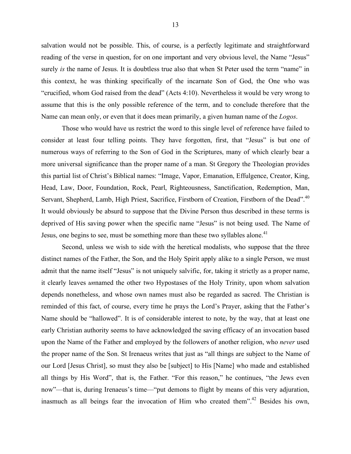salvation would not be possible. This, of course, is a perfectly legitimate and straightforward reading of the verse in question, for on one important and very obvious level, the Name "Jesus" surely *is* the name of Jesus. It is doubtless true also that when St Peter used the term "name" in this context, he was thinking specifically of the incarnate Son of God, the One who was "crucified, whom God raised from the dead" (Acts 4:10). Nevertheless it would be very wrong to assume that this is the only possible reference of the term, and to conclude therefore that the Name can mean only, or even that it does mean primarily, a given human name of the *Logos*.

Those who would have us restrict the word to this single level of reference have failed to consider at least four telling points. They have forgotten, first, that "Jesus" is but one of numerous ways of referring to the Son of God in the Scriptures, many of which clearly bear a more universal significance than the proper name of a man. St Gregory the Theologian provides this partial list of Christ's Biblical names: "Image, Vapor, Emanation, Effulgence, Creator, King, Head, Law, Door, Foundation, Rock, Pearl, Righteousness, Sanctification, Redemption, Man, Servant, Shepherd, Lamb, High Priest, Sacrifice, Firstborn of Creation, Firstborn of the Dead".<sup>40</sup> It would obviously be absurd to suppose that the Divine Person thus described in these terms is deprived of His saving power when the specific name "Jesus" is not being used. The Name of Jesus, one begins to see, must be something more than these two syllables alone.<sup>41</sup>

Second, unless we wish to side with the heretical modalists, who suppose that the three distinct names of the Father, the Son, and the Holy Spirit apply alike to a single Person, we must admit that the name itself "Jesus" is not uniquely salvific, for, taking it strictly as a proper name, it clearly leaves *un*named the other two Hypostases of the Holy Trinity, upon whom salvation depends nonetheless, and whose own names must also be regarded as sacred. The Christian is reminded of this fact, of course, every time he prays the Lord's Prayer, asking that the Father's Name should be "hallowed". It is of considerable interest to note, by the way, that at least one early Christian authority seems to have acknowledged the saving efficacy of an invocation based upon the Name of the Father and employed by the followers of another religion, who *never* used the proper name of the Son. St Irenaeus writes that just as "all things are subject to the Name of our Lord [Jesus Christ], so must they also be [subject] to His [Name] who made and established all things by His Word", that is, the Father. "For this reason," he continues, "the Jews even now"—that is, during Irenaeus's time—"put demons to flight by means of this very adjuration, inasmuch as all beings fear the invocation of Him who created them".<sup>42</sup> Besides his own,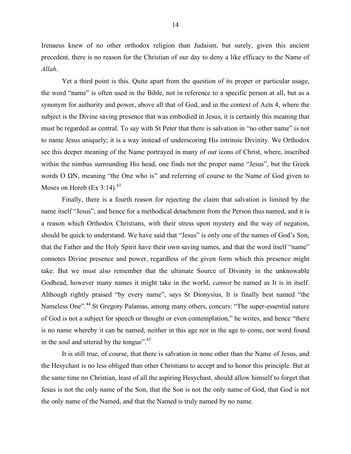Irenaeus knew of no other orthodox religion than Judaism, but surely, given this ancient precedent, there is no reason for the Christian of our day to deny a like efficacy to the Name of *Allah*.

Yet a third point is this. Quite apart from the question of its proper or particular usage, the word "name" is often used in the Bible, not in reference to a specific person at all, but as a synonym for authority and power, above all that of God, and in the context of Acts 4, where the subject is the Divine saving presence that was embodied in Jesus, it is certainly this meaning that must be regarded as central. To say with St Peter that there is salvation in "no other name" is not to name Jesus uniquely; it is a way instead of underscoring His intrinsic Divinity. We Orthodox see this deeper meaning of the Name portrayed in many of our icons of Christ, where, inscribed within the nimbus surrounding His head, one finds not the proper name "Jesus", but the Greek words Ο ΩΝ, meaning "the One who is" and referring of course to the Name of God given to Moses on Horeb (Ex  $3:14$ ).<sup>43</sup>

Finally, there is a fourth reason for rejecting the claim that salvation is limited by the name itself "Jesus", and hence for a methodical detachment from the Person thus named, and it is a reason which Orthodox Christians, with their stress upon mystery and the way of negation, should be quick to understand. We have said that "Jesus" is only one of the names of God's Son, that the Father and the Holy Spirit have their own saving names, and that the word itself "name" connotes Divine presence and power, regardless of the given form which this presence might take. But we must also remember that the ultimate Source of Divinity in the unknowable Godhead, however many names it might take in the world, *cannot* be named as It is in itself. Although rightly praised "by every name", says St Dionysius, It is finally best named "the Nameless One".<sup>44</sup> St Gregory Palamas, among many others, concurs: "The super-essential nature of God is not a subject for speech or thought or even contemplation," he writes, and hence "there is no name whereby it can be named, neither in this age nor in the age to come, nor word found in the soul and uttered by the tongue".<sup>45</sup>

It is still true, of course, that there is salvation in none other than the Name of Jesus, and the Hesychast is no less obliged than other Christians to accept and to honor this principle. But at the same time no Christian, least of all the aspiring Hesychast, should allow himself to forget that Jesus is not the only name of the Son, that the Son is not the only name of God, that God is not the only name of the Named, and that the Named is truly named by no name.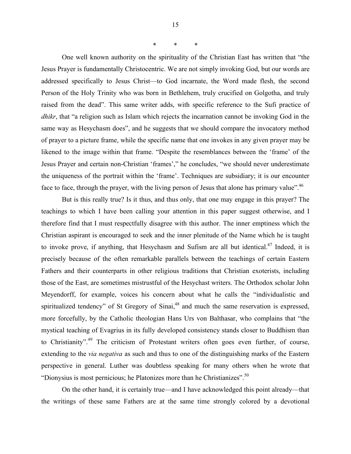\* \* \*

One well known authority on the spirituality of the Christian East has written that "the Jesus Prayer is fundamentally Christocentric. We are not simply invoking God, but our words are addressed specifically to Jesus Christ—to God incarnate, the Word made flesh, the second Person of the Holy Trinity who was born in Bethlehem, truly crucified on Golgotha, and truly raised from the dead". This same writer adds, with specific reference to the Sufi practice of *dhikr*, that "a religion such as Islam which rejects the incarnation cannot be invoking God in the same way as Hesychasm does", and he suggests that we should compare the invocatory method of prayer to a picture frame, while the specific name that one invokes in any given prayer may be likened to the image within that frame. "Despite the resemblances between the 'frame' of the Jesus Prayer and certain non-Christian 'frames'," he concludes, "we should never underestimate the uniqueness of the portrait within the 'frame'. Techniques are subsidiary; it is our encounter face to face, through the prayer, with the living person of Jesus that alone has primary value".<sup>46</sup>

But is this really true? Is it thus, and thus only, that one may engage in this prayer? The teachings to which I have been calling your attention in this paper suggest otherwise, and I therefore find that I must respectfully disagree with this author. The inner emptiness which the Christian aspirant is encouraged to seek and the inner plenitude of the Name which he is taught to invoke prove, if anything, that Hesychasm and Sufism are all but identical.<sup>47</sup> Indeed, it is precisely because of the often remarkable parallels between the teachings of certain Eastern Fathers and their counterparts in other religious traditions that Christian exoterists, including those of the East, are sometimes mistrustful of the Hesychast writers. The Orthodox scholar John Meyendorff, for example, voices his concern about what he calls the "individualistic and spiritualized tendency" of St Gregory of Sinai,<sup>48</sup> and much the same reservation is expressed, more forcefully, by the Catholic theologian Hans Urs von Balthasar, who complains that "the mystical teaching of Evagrius in its fully developed consistency stands closer to Buddhism than to Christianity".<sup>49</sup> The criticism of Protestant writers often goes even further, of course, extending to the *via negativa* as such and thus to one of the distinguishing marks of the Eastern perspective in general. Luther was doubtless speaking for many others when he wrote that "Dionysius is most pernicious; he Platonizes more than he Christianizes".<sup>50</sup>

On the other hand, it is certainly true—and I have acknowledged this point already—that the writings of these same Fathers are at the same time strongly colored by a devotional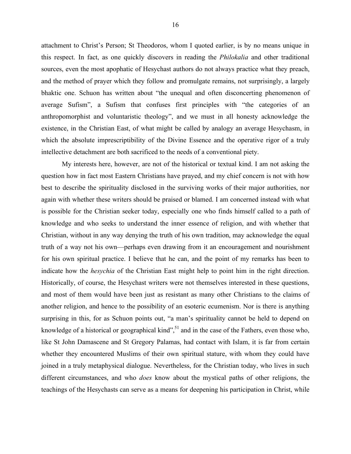attachment to Christ's Person; St Theodoros, whom I quoted earlier, is by no means unique in this respect. In fact, as one quickly discovers in reading the *Philokalia* and other traditional sources, even the most apophatic of Hesychast authors do not always practice what they preach, and the method of prayer which they follow and promulgate remains, not surprisingly, a largely bhaktic one. Schuon has written about "the unequal and often disconcerting phenomenon of average Sufism", a Sufism that confuses first principles with "the categories of an anthropomorphist and voluntaristic theology", and we must in all honesty acknowledge the existence, in the Christian East, of what might be called by analogy an average Hesychasm, in which the absolute imprescriptibility of the Divine Essence and the operative rigor of a truly intellective detachment are both sacrificed to the needs of a conventional piety.

My interests here, however, are not of the historical or textual kind. I am not asking the question how in fact most Eastern Christians have prayed, and my chief concern is not with how best to describe the spirituality disclosed in the surviving works of their major authorities, nor again with whether these writers should be praised or blamed. I am concerned instead with what is possible for the Christian seeker today, especially one who finds himself called to a path of knowledge and who seeks to understand the inner essence of religion, and with whether that Christian, without in any way denying the truth of his own tradition, may acknowledge the equal truth of a way not his own—perhaps even drawing from it an encouragement and nourishment for his own spiritual practice. I believe that he can, and the point of my remarks has been to indicate how the *hesychia* of the Christian East might help to point him in the right direction. Historically, of course, the Hesychast writers were not themselves interested in these questions, and most of them would have been just as resistant as many other Christians to the claims of another religion, and hence to the possibility of an esoteric ecumenism. Nor is there is anything surprising in this, for as Schuon points out, "a man's spirituality cannot be held to depend on knowledge of a historical or geographical kind", and in the case of the Fathers, even those who, like St John Damascene and St Gregory Palamas, had contact with Islam, it is far from certain whether they encountered Muslims of their own spiritual stature, with whom they could have joined in a truly metaphysical dialogue. Nevertheless, for the Christian today, who lives in such different circumstances, and who *does* know about the mystical paths of other religions, the teachings of the Hesychasts can serve as a means for deepening his participation in Christ, while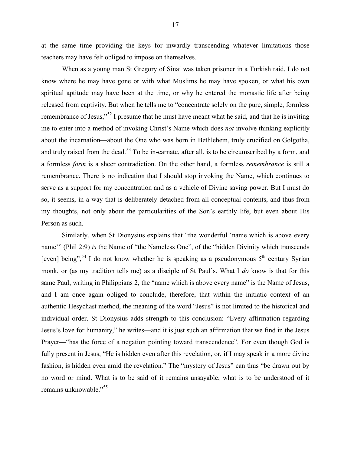at the same time providing the keys for inwardly transcending whatever limitations those teachers may have felt obliged to impose on themselves.

When as a young man St Gregory of Sinai was taken prisoner in a Turkish raid, I do not know where he may have gone or with what Muslims he may have spoken, or what his own spiritual aptitude may have been at the time, or why he entered the monastic life after being released from captivity. But when he tells me to "concentrate solely on the pure, simple, formless remembrance of Jesus,"<sup>52</sup> I presume that he must have meant what he said, and that he is inviting me to enter into a method of invoking Christ's Name which does *not* involve thinking explicitly about the incarnation—about the One who was born in Bethlehem, truly crucified on Golgotha, and truly raised from the dead.<sup>53</sup> To be in-carnate, after all, is to be circumscribed by a form, and a formless *form* is a sheer contradiction. On the other hand, a formless *remembrance* is still a remembrance. There is no indication that I should stop invoking the Name, which continues to serve as a support for my concentration and as a vehicle of Divine saving power. But I must do so, it seems, in a way that is deliberately detached from all conceptual contents, and thus from my thoughts, not only about the particularities of the Son's earthly life, but even about His Person as such.

Similarly, when St Dionysius explains that "the wonderful 'name which is above every name'" (Phil 2:9) *is* the Name of "the Nameless One", of the "hidden Divinity which transcends [even] being",<sup>54</sup> I do not know whether he is speaking as a pseudonymous  $5<sup>th</sup>$  century Syrian monk, or (as my tradition tells me) as a disciple of St Paul's. What I *do* know is that for this same Paul, writing in Philippians 2, the "name which is above every name" is the Name of Jesus, and I am once again obliged to conclude, therefore, that within the initiatic context of an authentic Hesychast method, the meaning of the word "Jesus" is not limited to the historical and individual order. St Dionysius adds strength to this conclusion: "Every affirmation regarding Jesus's love for humanity," he writes—and it is just such an affirmation that we find in the Jesus Prayer—"has the force of a negation pointing toward transcendence". For even though God is fully present in Jesus, "He is hidden even after this revelation, or, if I may speak in a more divine fashion, is hidden even amid the revelation." The "mystery of Jesus" can thus "be drawn out by no word or mind. What is to be said of it remains unsayable; what is to be understood of it remains unknowable." 55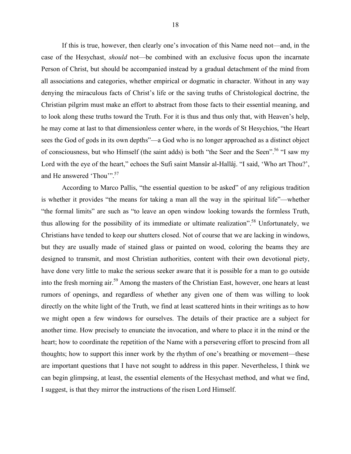If this is true, however, then clearly one's invocation of this Name need not—and, in the case of the Hesychast, *should* not—be combined with an exclusive focus upon the incarnate Person of Christ, but should be accompanied instead by a gradual detachment of the mind from all associations and categories, whether empirical or dogmatic in character. Without in any way denying the miraculous facts of Christ's life or the saving truths of Christological doctrine, the Christian pilgrim must make an effort to abstract from those facts to their essential meaning, and to look along these truths toward the Truth. For it is thus and thus only that, with Heaven's help, he may come at last to that dimensionless center where, in the words of St Hesychios, "the Heart sees the God of gods in its own depths"—a God who is no longer approached as a distinct object of consciousness, but who Himself (the saint adds) is both "the Seer and the Seen".<sup>56</sup> "I saw my Lord with the eye of the heart," echoes the Sufi saint Mansûr al-Hallâj. "I said, 'Who art Thou?', and He answered 'Thou'".<sup>57</sup>

According to Marco Pallis, "the essential question to be asked" of any religious tradition is whether it provides "the means for taking a man all the way in the spiritual life"—whether "the formal limits" are such as "to leave an open window looking towards the formless Truth, thus allowing for the possibility of its immediate or ultimate realization".<sup>58</sup> Unfortunately, we Christians have tended to keep our shutters closed. Not of course that we are lacking in windows, but they are usually made of stained glass or painted on wood, coloring the beams they are designed to transmit, and most Christian authorities, content with their own devotional piety, have done very little to make the serious seeker aware that it is possible for a man to go outside into the fresh morning air. <sup>59</sup> Among the masters of the Christian East, however, one hears at least rumors of openings, and regardless of whether any given one of them was willing to look directly on the white light of the Truth, we find at least scattered hints in their writings as to how we might open a few windows for ourselves. The details of their practice are a subject for another time. How precisely to enunciate the invocation, and where to place it in the mind or the heart; how to coordinate the repetition of the Name with a persevering effort to prescind from all thoughts; how to support this inner work by the rhythm of one's breathing or movement—these are important questions that I have not sought to address in this paper. Nevertheless, I think we can begin glimpsing, at least, the essential elements of the Hesychast method, and what we find, I suggest, is that they mirror the instructions of the risen Lord Himself.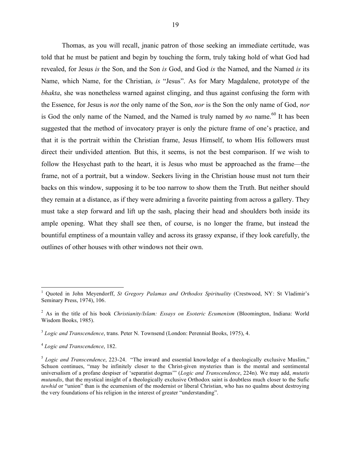Thomas, as you will recall, jnanic patron of those seeking an immediate certitude, was told that he must be patient and begin by touching the form, truly taking hold of what God had revealed, for Jesus *is* the Son, and the Son *is* God, and God *is* the Named, and the Named *is* its Name, which Name, for the Christian, *is* "Jesus". As for Mary Magdalene, prototype of the *bhakta*, she was nonetheless warned against clinging, and thus against confusing the form with the Essence, for Jesus is *not* the only name of the Son, *nor* is the Son the only name of God, *nor* is God the only name of the Named, and the Named is truly named by *no* name. <sup>60</sup> It has been suggested that the method of invocatory prayer is only the picture frame of one's practice, and that it is the portrait within the Christian frame, Jesus Himself, to whom His followers must direct their undivided attention. But this, it seems, is not the best comparison. If we wish to follow the Hesychast path to the heart, it is Jesus who must be approached as the frame—the frame, not of a portrait, but a window. Seekers living in the Christian house must not turn their backs on this window, supposing it to be too narrow to show them the Truth. But neither should they remain at a distance, as if they were admiring a favorite painting from across a gallery. They must take a step forward and lift up the sash, placing their head and shoulders both inside its ample opening. What they shall see then, of course, is no longer the frame, but instead the bountiful emptiness of a mountain valley and across its grassy expanse, if they look carefully, the outlines of other houses with other windows not their own.

 <sup>1</sup> Quoted in John Meyendorff, *St Gregory Palamas and Orthodox Spirituality* (Crestwood, NY: St Vladimir's Seminary Press, 1974), 106.

<sup>2</sup> As in the title of his book *Christianity/Islam: Essays on Esoteric Ecumenism* (Bloomington, Indiana: World Wisdom Books, 1985).

<sup>3</sup> *Logic and Transcendence*, trans. Peter N. Townsend (London: Perennial Books, 1975), 4.

<sup>4</sup> *Logic and Transcendence*, 182.

<sup>5</sup> *Logic and Transcendence*, 223-24. "The inward and essential knowledge of a theologically exclusive Muslim," Schuon continues, "may be infinitely closer to the Christ-given mysteries than is the mental and sentimental universalism of a profane despiser of 'separatist dogmas'" (*Logic and Transcendence*, 224n). We may add, *mutatis mutandis*, that the mystical insight of a theologically exclusive Orthodox saint is doubtless much closer to the Sufic *tawhid* or "union" than is the ecumenism of the modernist or liberal Christian, who has no qualms about destroying the very foundations of his religion in the interest of greater "understanding".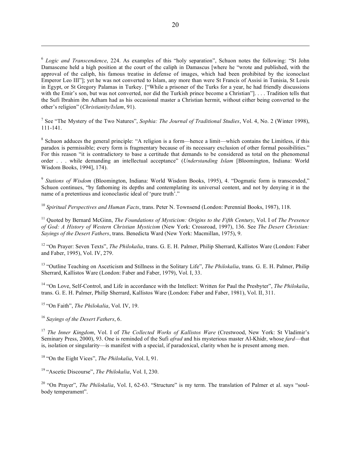<sup>6</sup> *Logic and Transcendence*, 224. As examples of this "holy separation", Schuon notes the following: "St John Damascene held a high position at the court of the caliph in Damascus [where he "wrote and published, with the approval of the caliph, his famous treatise in defense of images, which had been prohibited by the iconoclast Emperor Leo III"]; yet he was not converted to Islam, any more than were St Francis of Assisi in Tunisia, St Louis in Egypt, or St Gregory Palamas in Turkey. ["While a prisoner of the Turks for a year, he had friendly discussions with the Emir's son, but was not converted, nor did the Turkish prince become a Christian"]. . . . Tradition tells that the Sufi Ibrahim ibn Adham had as his occasional master a Christian hermit, without either being converted to the other's religion" (*Christianity/Islam*, 91).

<sup>7</sup> See "The Mystery of the Two Natures", *Sophia: The Journal of Traditional Studies*, Vol. 4, No. 2 (Winter 1998), 111-141.

<sup>8</sup> Schuon adduces the general principle: "A religion is a form—hence a limit—which contains the Limitless, if this paradox is permissible; every form is fragmentary because of its necessary exclusion of other formal possibilities." For this reason "it is contradictory to base a certitude that demands to be considered as total on the phenomenal order . . . while demanding an intellectual acceptance" (*Understanding Islam* [Bloomington, Indiana: World Wisdom Books, 1994], 174).

<sup>9</sup> *Stations of Wisdom* (Bloomington, Indiana: World Wisdom Books, 1995), 4. "Dogmatic form is transcended," Schuon continues, "by fathoming its depths and contemplating its universal content, and not by denying it in the name of a pretentious and iconoclastic ideal of 'pure truth'."

<sup>10</sup> *Spiritual Perspectives and Human Facts*, trans. Peter N. Townsend (London: Perennial Books, 1987), 118.

<sup>11</sup> Quoted by Bernard McGinn, *The Foundations of Mysticism: Origins to the Fifth Century*, Vol. I of *The Presence of God: A History of Western Christian Mysticism* (New York: Crossroad, 1997), 136. See *The Desert Christian: Sayings of the Desert Fathers*, trans. Benedicta Ward (New York: Macmillan, 1975), 9.

<sup>12</sup> "On Prayer: Seven Texts", *The Philokalia*, trans. G. E. H. Palmer, Philip Sherrard, Kallistos Ware (London: Faber and Faber, 1995), Vol. IV, 279.

<sup>13</sup> "Outline Teaching on Asceticism and Stillness in the Solitary Life", *The Philokalia*, trans. G. E. H. Palmer, Philip Sherrard, Kallistos Ware (London: Faber and Faber, 1979), Vol. I, 33.

<sup>14</sup> "On Love, Self-Control, and Life in accordance with the Intellect: Written for Paul the Presbyter", *The Philokalia*, trans. G. E. H. Palmer, Philip Sherrard, Kallistos Ware (London: Faber and Faber, 1981), Vol. II, 311.

<sup>15</sup> "On Faith", *The Philokalia*, Vol. IV, 19.

<sup>16</sup> *Sayings of the Desert Fathers*, 6.

 $\overline{a}$ 

<sup>17</sup> *The Inner Kingdom*, Vol. I of *The Collected Works of Kallistos Ware* (Crestwood, New York: St Vladimir's Seminary Press, 2000), 93. One is reminded of the Sufi *afrad* and his mysterious master Al-Khidr, whose *fard*—that is, isolation or singularity—is manifest with a special, if paradoxical, clarity when he is present among men.

<sup>18</sup> "On the Eight Vices", *The Philokalia*, Vol. I, 91.

<sup>19</sup> "Ascetic Discourse", *The Philokalia*, Vol. I, 230.

<sup>20</sup> "On Prayer", *The Philokalia*, Vol. I, 62-63. "Structure" is my term. The translation of Palmer et al. says "soulbody temperament".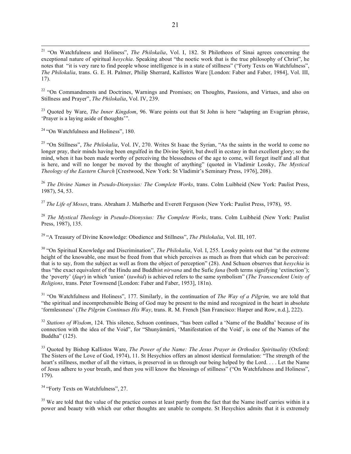<sup>22</sup> "On Commandments and Doctrines, Warnings and Promises; on Thoughts, Passions, and Virtues, and also on Stillness and Prayer", *The Philokalia*, Vol. IV, 239.

<sup>23</sup> Quoted by Ware, *The Inner Kingdom*, 96. Ware points out that St John is here "adapting an Evagrian phrase, 'Prayer is a laying aside of thoughts'".

<sup>24</sup> "On Watchfulness and Holiness", 180.

<sup>25</sup> "On Stillness", *The Philokalia*, Vol. IV, 270. Writes St Isaac the Syrian, "As the saints in the world to come no longer pray, their minds having been engulfed in the Divine Spirit, but dwell in ecstasy in that excellent glory; so the mind, when it has been made worthy of perceiving the blessedness of the age to come, will forget itself and all that is here, and will no longer be moved by the thought of anything" (quoted in Vladimir Lossky, *The Mystical Theology of the Eastern Church* [Crestwood, New York: St Vladimir's Seminary Press, 1976], 208).

<sup>26</sup> *The Divine Names* in *Pseudo-Dionysius: The Complete Works*, trans. Colm Luibheid (New York: Paulist Press, 1987), 54, 53.

<sup>27</sup> *The Life of Moses*, trans. Abraham J. Malherbe and Everett Ferguson (New York: Paulist Press, 1978), 95.

<sup>28</sup> *The Mystical Theology* in *Pseudo-Dionysius: The Complete Works*, trans. Colm Luibheid (New York: Paulist Press, 1987), 135.

<sup>29</sup> "A Treasury of Divine Knowledge: Obedience and Stillness", *The Philokalia*, Vol. III, 107.

<sup>30</sup> "On Spiritual Knowledge and Discrimination", *The Philokalia*, Vol. I, 255. Lossky points out that "at the extreme height of the knowable, one must be freed from that which perceives as much as from that which can be perceived: that is to say, from the subject as well as from the object of perception" (28). And Schuon observes that *hesychia* is thus "the exact equivalent of the Hindu and Buddhist *nirvana* and the Sufic *fana* (both terms signifying 'extinction'); the 'poverty' (*faqr*) in which 'union' (*tawhid*) is achieved refers to the same symbolism" (*The Transcendent Unity of Religions*, trans. Peter Townsend [London: Faber and Faber, 1953], 181n).

<sup>31</sup> "On Watchfulness and Holiness", 177. Similarly, in the continuation of *The Way of a Pilgrim,* we are told that "the spiritual and incomprehensible Being of God may be present to the mind and recognized in the heart in absolute 'formlessness' (*The Pilgrim Continues His Way*, trans. R. M. French [San Francisco: Harper and Row, n.d.], 222).

<sup>32</sup> *Stations of Wisdom*, 124. This silence, Schuon continues, "has been called a 'Name of the Buddha' because of its connection with the idea of the Void", for "Shunyâmûrti, 'Manifestation of the Void', is one of the Names of the Buddha" (125).

<sup>33</sup> Quoted by Bishop Kallistos Ware, *The Power of the Name: The Jesus Prayer in Orthodox Spirituality* (Oxford: The Sisters of the Love of God, 1974), 11. St Hesychios offers an almost identical formulation: "The strength of the heart's stillness, mother of all the virtues, is preserved in us through our being helped by the Lord. . . . Let the Name of Jesus adhere to your breath, and then you will know the blessings of stillness" ("On Watchfulness and Holiness", 179).

<sup>34</sup> "Forty Texts on Watchfulness", 27.

<sup>35</sup> We are told that the value of the practice comes at least partly from the fact that the Name itself carries within it a power and beauty with which our other thoughts are unable to compete. St Hesychios admits that it is extremely

 <sup>21</sup> "On Watchfulness and Holiness", *The Philokalia*, Vol. I, 182. St Philotheos of Sinai agrees concerning the exceptional nature of spiritual *hesychia*. Speaking about "the noetic work that is the true philosophy of Christ", he notes that "it is very rare to find people whose intelligence is in a state of stillness" ("Forty Texts on Watchfulness", *The Philokalia*, trans. G. E. H. Palmer, Philip Sherrard, Kallistos Ware [London: Faber and Faber, 1984], Vol. III, 17).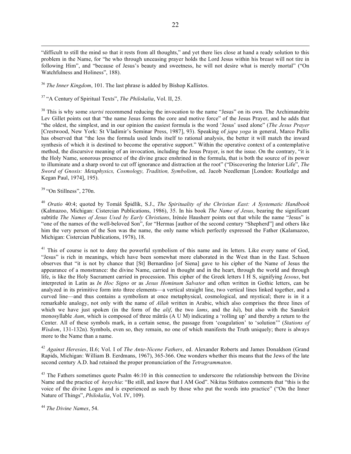"difficult to still the mind so that it rests from all thoughts," and yet there lies close at hand <sup>a</sup> ready solution to this problem in the Name, for "he who through unceasing prayer holds the Lord Jesus within his breast will not tire in following Him", and "because of Jesus's beauty and sweetness, he will not desire what is merely mortal" ("On Watchfulness and Holiness", 188).

<sup>36</sup> *The Inner Kingdom*, 101. The last phrase is added by Bishop Kallistos.

<sup>37</sup> "A Century of Spiritual Texts", *The Philokalia*, Vol. II, 25.

<sup>38</sup> This is why some *startsi* recommend reducing the invocation to the name "Jesus" on its own. The Archimandrite Lev Gillet points out that "the name Jesus forms the core and motive force" of the Jesus Prayer, and he adds that "the oldest, the simplest, and in our opinion the easiest formula is the word 'Jesus' used alone" (*The Jesus Prayer* [Crestwood, New York: St Vladimir's Seminar Press, 1987], 93). Speaking of *japa yoga* in general, Marco Pallis has observed that "the less the formula used lends itself to rational analysis, the better it will match the inward synthesis of which it is destined to become the operative support." Within the operative context of a contemplative method, the discursive meaning of an invocation, including the Jesus Prayer, is not the issue. On the contrary, "it is the Holy Name, sonorous presence of the divine grace enshrined in the formula, that is both the source of its power to illuminate and a sharp sword to cut off ignorance and distraction at the root" ("Discovering the Interior Life", *The Sword of Gnosis: Metaphysics, Cosmology, Tradition, Symbolism*, ed. Jacob Needleman [London: Routledge and Kegan Paul, 1974], 195).

<sup>39</sup> "On Stillness", 270n.

<sup>40</sup> *Oratio* 40:4; quoted by Tomáš Špidlík, S.J., *The Spirituality of the Christian East: A Systematic Handbook* (Kalmazoo, Michigan: Cistercian Publications, 1986), 35. In his book *The Name of Jesus*, bearing the significant subtitle *The Names of Jesus Used by Early Christians*, Irénée Hausherr points out that while the name "Jesus" is "one of the names of the well-beloved Son", for "Hermas [author of the second century "Shepherd"] and others like him the very person of the Son was the name, the only name which perfectly expressed the Father (Kalamazoo, Michigan: Cistercian Publications, 1978), 18.

<sup>41</sup> This of course is not to deny the powerful symbolism of this name and its letters. Like every name of God, "Jesus" is rich in meanings, which have been somewhat more elaborated in the West than in the East. Schuon observes that "it is not by chance that [St] Bernardino [of Siena] gave to his cipher of the Name of Jesus the appearance of a monstrance: the divine Name, carried in thought and in the heart, through the world and through life, is like the Holy Sacrament carried in procession. This cipher of the Greek letters I H S, signifying *Iesous*, but interpreted in Latin as *In Hoc Signo* or as *Jesus Hominum Salvator* and often written in Gothic letters, can be analyzed in its primitive form into three elements—a vertical straight line, two vertical lines linked together, and a curved line—and thus contains a symbolism at once metaphysical, cosmological, and mystical; there is in it a remarkable analogy, not only with the name of *Allah* written in Arabic, which also comprises the three lines of which we have just spoken (in the form of the *alif*, the two *lams*, and the *hâ*), but also with the Sanskrit monosyllable *Aum*, which is composed of three mâtrâs (A U M) indicating a 'rolling up' and thereby a return to the Center. All of these symbols mark, in a certain sense, the passage from 'coagulation' to 'solution'" (*Stations of Wisdom*, 131-132n). Symbols, even so, they remain, no one of which manifests the Truth uniquely; there is always more to the Name than a name.

<sup>42</sup> *Against Heresies*, II.6; Vol. I of *The Ante-Nicene Fathers*, ed. Alexander Roberts and James Donaldson (Grand Rapids, Michigan: William B. Eerdmans, 1967), 365-366. One wonders whether this means that the Jews of the late second century A.D. had retained the proper pronunciation of the *Tetragrammaton*.

 $43$  The Fathers sometimes quote Psalm 46:10 in this connection to underscore the relationship between the Divine Name and the practice of *hesychia*: "Be still, and know that I AM God". Nikitas Stithatos comments that "this is the voice of the divine Logos and is experienced as such by those who put the words into practice" ("On the Inner Nature of Things", *Philokalia*, Vol. IV, 109).

<sup>44</sup> *The Divine Names*, 54.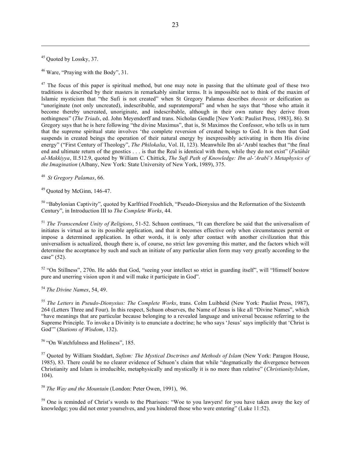$45$  Quoted by Lossky, 37.

 $\overline{a}$ 

<sup>46</sup> Ware, "Praying with the Body", 31.

 $47$  The focus of this paper is spiritual method, but one may note in passing that the ultimate goal of these two traditions is described by their masters in remarkably similar terms. It is impossible not to think of the maxim of Islamic mysticism that "the Sufi is not created" when St Gregory Palamas describes *theosis* or deification as "unoriginate (not only uncreated), indescribable, and supratemporal" and when he says that "those who attain it become thereby uncreated, unoriginate, and indescribable, although in their own nature they derive from nothingness" (*The Triads*, ed. John Meyendorff and trans. Nicholas Gendle [New York: Paulist Press, 1983], 86). St Gregory says that he is here following "the divine Maximus", that is, St Maximos the Confessor, who tells us in turn that the supreme spiritual state involves 'the complete reversion of created beings to God. It is then that God suspends in created beings the operation of their natural energy by inexpressibly activating in them His divine energy" ("First Century of Theology", *The Philokalia*, Vol. II, 123). Meanwhile Ibn al-'Arabî teaches that "the final end and ultimate return of the gnostics . . . is that the Real is identical with them, while they do not exist" (*Futûhât al-Makkiyya*, II.512.9, quoted by William C. Chittick, *The Sufi Path of Knowledge: Ibn al-'Arabî's Metaphysics of the Imagination* (Albany, New York: State University of New York, 1989), 375.

<sup>48</sup> *St Gregory Palamas*, 66.

<sup>49</sup> Quoted by McGinn, 146-47.

<sup>50</sup> "Babylonian Captivity", quoted by Karlfried Froehlich, "Pseudo-Dionysius and the Reformation of the Sixteenth Century", in Introduction III to *The Complete Works*, 44.

<sup>51</sup> *The Transcendent Unity of Religions*, 51-52. Schuon continues, "It can therefore be said that the universalism of initiates is virtual as to its possible application, and that it becomes effective only when circumstances permit or impose a determined application. In other words, it is only after contact with another civilization that this universalism is actualized, though there is, of course, no strict law governing this matter, and the factors which will determine the acceptance by such and such an initiate of any particular alien form may very greatly according to the case" (52).

<sup>52</sup> "On Stillness", 270n. He adds that God, "seeing your intellect so strict in guarding itself", will "Himself bestow pure and unerring vision upon it and will make it participate in God".

<sup>54</sup> *The Divine Names*, 54, 49.

<sup>55</sup> *The Letters* in *Pseudo-Dionysius: The Complete Works*, trans. Colm Luibheid (New York: Paulist Press, 1987), 264 (Letters Three and Four). In this respect, Schuon observes, the Name of Jesus is like all "Divine Names", which "have meanings that are particular because belonging to a revealed language and universal because referring to the Supreme Principle. To invoke a Divinity is to enunciate a doctrine; he who says 'Jesus' says implicitly that 'Christ is God'" (*Stations of Wisdom*, 132).

<sup>56</sup> "On Watchfulness and Holiness", 185.

<sup>57</sup> Quoted by William Stoddart, *Sufism: The Mystical Doctrines and Methods of Islam* (New York: Paragon House, 1985), 83. There could be no clearer evidence of Schuon's claim that while "dogmatically the divergence between Christianity and Islam is irreducible, metaphysically and mystically it is no more than relative" (*Christianity/Islam*, 104).

<sup>58</sup> *The Way and the Mountain* (London: Peter Owen, 1991), 96.

<sup>59</sup> One is reminded of Christ's words to the Pharisees: "Woe to you lawyers! for you have taken away the key of knowledge; you did not enter yourselves, and you hindered those who were entering" (Luke 11:52).